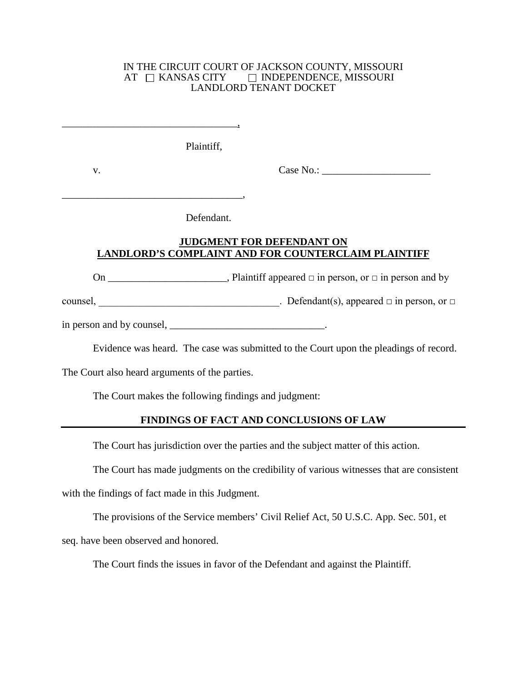#### IN THE CIRCUIT COURT OF JACKSON COUNTY, MISSOURI<br>AT  $\quad \Box$  KANSAS CITY  $\qquad \Box$  INDEPENDENCE, MISSOURI  $\Box$  INDEPENDENCE, MISSOURI LANDLORD TENANT DOCKET

Plaintiff,

\_\_\_\_\_\_\_\_\_\_\_\_\_\_\_\_\_\_\_\_\_\_\_\_\_\_\_\_\_\_\_\_\_\_,

\_\_\_\_\_\_\_\_\_\_\_\_\_\_\_\_\_\_\_\_\_\_\_\_\_\_\_\_\_\_\_\_\_\_\_,

v. Case No.:

Defendant.

## **JUDGMENT FOR DEFENDANT ON LANDLORD'S COMPLAINT AND FOR COUNTERCLAIM PLAINTIFF**

On  $\_\_\_\_\_\_\_\_\_\_\_\_\_\_\_\_\_\_\_\_\_\_\_\_\_\_\_\_\_\_\_$ . Plaintiff appeared  $\_\_\_\_\_\_\_\_\_\_\_\_\_\_\_\_\_\_\_\_\_\_\_\_\_\_\_\_\_$ 

counsel, \_\_\_\_\_\_\_\_\_\_\_\_\_\_\_\_\_\_\_\_\_\_\_\_\_\_\_\_\_\_\_\_\_\_\_. Defendant(s), appeared  $\Box$  in person, or  $\Box$ 

in person and by counsel, \_\_\_\_\_\_\_\_\_\_\_\_\_\_\_\_\_\_\_\_\_\_\_\_\_\_\_\_\_\_.

Evidence was heard. The case was submitted to the Court upon the pleadings of record.

The Court also heard arguments of the parties.

The Court makes the following findings and judgment:

# **FINDINGS OF FACT AND CONCLUSIONS OF LAW**

The Court has jurisdiction over the parties and the subject matter of this action.

The Court has made judgments on the credibility of various witnesses that are consistent

with the findings of fact made in this Judgment.

The provisions of the Service members' Civil Relief Act, 50 U.S.C. App. Sec. 501, et seq. have been observed and honored.

The Court finds the issues in favor of the Defendant and against the Plaintiff.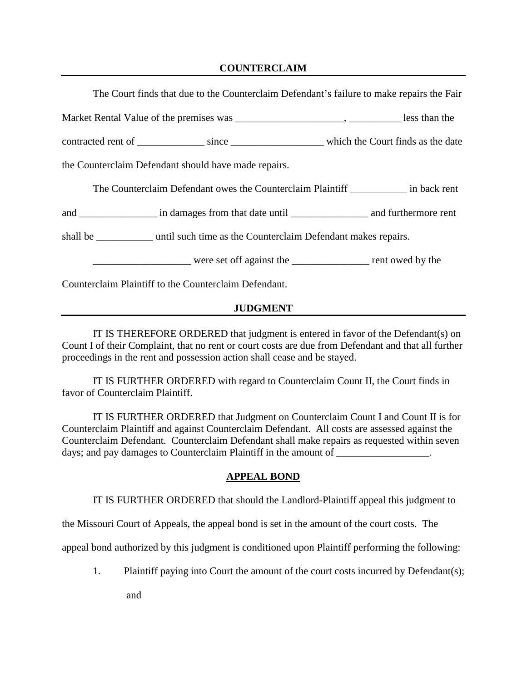### **COUNTERCLAIM**

| The Court finds that due to the Counterclaim Defendant's failure to make repairs the Fair |                                                                                                        |  |
|-------------------------------------------------------------------------------------------|--------------------------------------------------------------------------------------------------------|--|
|                                                                                           |                                                                                                        |  |
|                                                                                           | contracted rent of ________________ since __________________________ which the Court finds as the date |  |
| the Counterclaim Defendant should have made repairs.                                      |                                                                                                        |  |
|                                                                                           | The Counterclaim Defendant owes the Counterclaim Plaintiff _____________ in back rent                  |  |
|                                                                                           |                                                                                                        |  |
| shall be __________ until such time as the Counterclaim Defendant makes repairs.          |                                                                                                        |  |
|                                                                                           |                                                                                                        |  |
| Counterclaim Plaintiff to the Counterclaim Defendant.                                     |                                                                                                        |  |

### **JUDGMENT**

IT IS THEREFORE ORDERED that judgment is entered in favor of the Defendant(s) on Count I of their Complaint, that no rent or court costs are due from Defendant and that all further proceedings in the rent and possession action shall cease and be stayed.

IT IS FURTHER ORDERED with regard to Counterclaim Count II, the Court finds in favor of Counterclaim Plaintiff.

IT IS FURTHER ORDERED that Judgment on Counterclaim Count I and Count II is for Counterclaim Plaintiff and against Counterclaim Defendant. All costs are assessed against the Counterclaim Defendant. Counterclaim Defendant shall make repairs as requested within seven days; and pay damages to Counterclaim Plaintiff in the amount of  $\blacksquare$ 

#### **APPEAL BOND**

IT IS FURTHER ORDERED that should the Landlord-Plaintiff appeal this judgment to

the Missouri Court of Appeals, the appeal bond is set in the amount of the court costs. The

appeal bond authorized by this judgment is conditioned upon Plaintiff performing the following:

1. Plaintiff paying into Court the amount of the court costs incurred by Defendant(s);

and